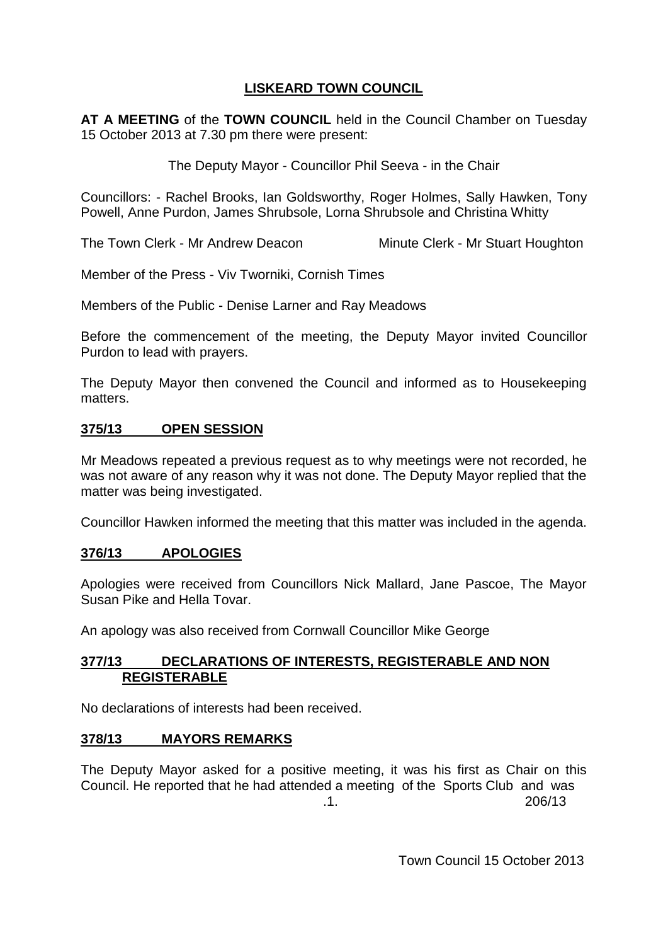# **LISKEARD TOWN COUNCIL**

**AT A MEETING** of the **TOWN COUNCIL** held in the Council Chamber on Tuesday 15 October 2013 at 7.30 pm there were present:

The Deputy Mayor - Councillor Phil Seeva - in the Chair

Councillors: - Rachel Brooks, Ian Goldsworthy, Roger Holmes, Sally Hawken, Tony Powell, Anne Purdon, James Shrubsole, Lorna Shrubsole and Christina Whitty

The Town Clerk - Mr Andrew Deacon Minute Clerk - Mr Stuart Houghton

Member of the Press - Viv Tworniki, Cornish Times

Members of the Public - Denise Larner and Ray Meadows

Before the commencement of the meeting, the Deputy Mayor invited Councillor Purdon to lead with prayers.

The Deputy Mayor then convened the Council and informed as to Housekeeping matters.

## **375/13 OPEN SESSION**

Mr Meadows repeated a previous request as to why meetings were not recorded, he was not aware of any reason why it was not done. The Deputy Mayor replied that the matter was being investigated.

Councillor Hawken informed the meeting that this matter was included in the agenda.

### **376/13 APOLOGIES**

Apologies were received from Councillors Nick Mallard, Jane Pascoe, The Mayor Susan Pike and Hella Tovar.

An apology was also received from Cornwall Councillor Mike George

### **377/13 DECLARATIONS OF INTERESTS, REGISTERABLE AND NON REGISTERABLE**

No declarations of interests had been received.

### **378/13 MAYORS REMARKS**

The Deputy Mayor asked for a positive meeting, it was his first as Chair on this Council. He reported that he had attended a meeting of the Sports Club and was .1. 206/13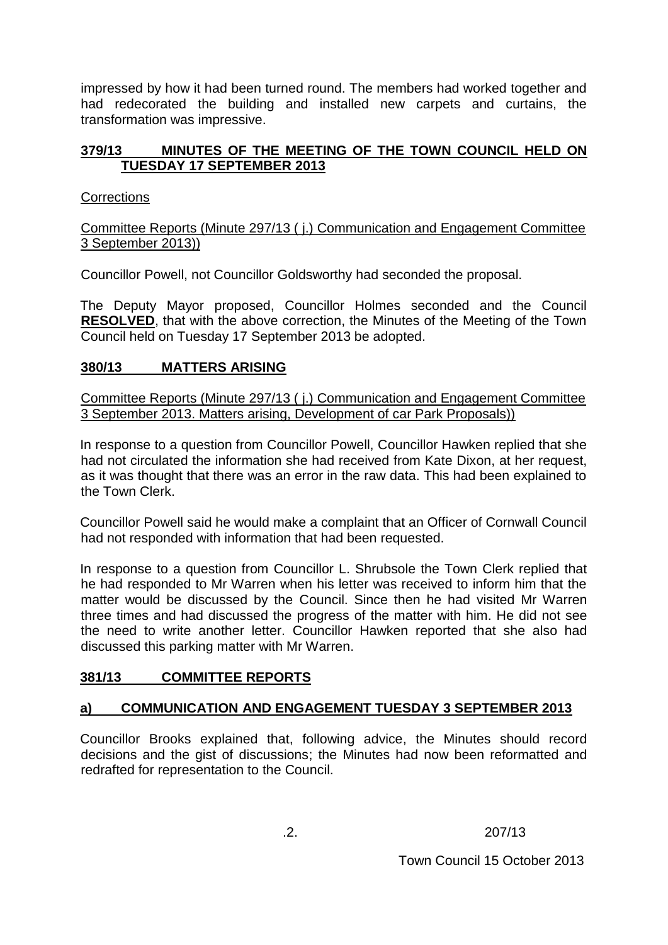impressed by how it had been turned round. The members had worked together and had redecorated the building and installed new carpets and curtains, the transformation was impressive.

## **379/13 MINUTES OF THE MEETING OF THE TOWN COUNCIL HELD ON TUESDAY 17 SEPTEMBER 2013**

### **Corrections**

Committee Reports (Minute 297/13 ( j.) Communication and Engagement Committee 3 September 2013))

Councillor Powell, not Councillor Goldsworthy had seconded the proposal.

The Deputy Mayor proposed, Councillor Holmes seconded and the Council **RESOLVED**, that with the above correction, the Minutes of the Meeting of the Town Council held on Tuesday 17 September 2013 be adopted.

## **380/13 MATTERS ARISING**

Committee Reports (Minute 297/13 ( j.) Communication and Engagement Committee 3 September 2013. Matters arising, Development of car Park Proposals))

In response to a question from Councillor Powell, Councillor Hawken replied that she had not circulated the information she had received from Kate Dixon, at her request, as it was thought that there was an error in the raw data. This had been explained to the Town Clerk.

Councillor Powell said he would make a complaint that an Officer of Cornwall Council had not responded with information that had been requested.

In response to a question from Councillor L. Shrubsole the Town Clerk replied that he had responded to Mr Warren when his letter was received to inform him that the matter would be discussed by the Council. Since then he had visited Mr Warren three times and had discussed the progress of the matter with him. He did not see the need to write another letter. Councillor Hawken reported that she also had discussed this parking matter with Mr Warren.

## **381/13 COMMITTEE REPORTS**

## **a) COMMUNICATION AND ENGAGEMENT TUESDAY 3 SEPTEMBER 2013**

Councillor Brooks explained that, following advice, the Minutes should record decisions and the gist of discussions; the Minutes had now been reformatted and redrafted for representation to the Council.

.2. 207/13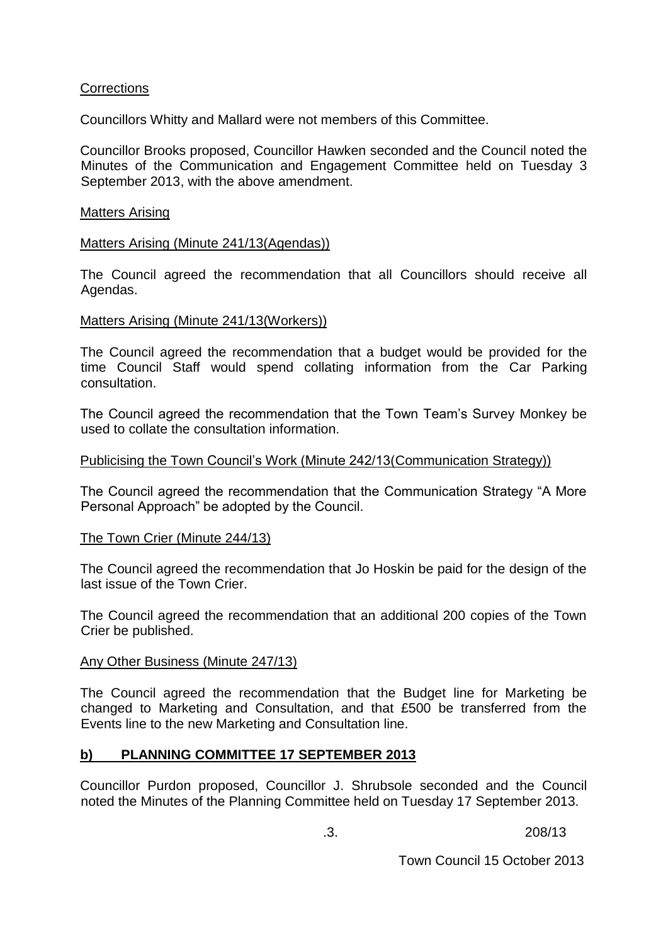### **Corrections**

Councillors Whitty and Mallard were not members of this Committee.

Councillor Brooks proposed, Councillor Hawken seconded and the Council noted the Minutes of the Communication and Engagement Committee held on Tuesday 3 September 2013, with the above amendment.

### Matters Arising

### Matters Arising (Minute 241/13(Agendas))

The Council agreed the recommendation that all Councillors should receive all Agendas.

### Matters Arising (Minute 241/13(Workers))

The Council agreed the recommendation that a budget would be provided for the time Council Staff would spend collating information from the Car Parking consultation.

The Council agreed the recommendation that the Town Team's Survey Monkey be used to collate the consultation information.

### Publicising the Town Council's Work (Minute 242/13(Communication Strategy))

The Council agreed the recommendation that the Communication Strategy "A More Personal Approach" be adopted by the Council.

### The Town Crier (Minute 244/13)

The Council agreed the recommendation that Jo Hoskin be paid for the design of the last issue of the Town Crier.

The Council agreed the recommendation that an additional 200 copies of the Town Crier be published.

### Any Other Business (Minute 247/13)

The Council agreed the recommendation that the Budget line for Marketing be changed to Marketing and Consultation, and that £500 be transferred from the Events line to the new Marketing and Consultation line.

## **b) PLANNING COMMITTEE 17 SEPTEMBER 2013**

Councillor Purdon proposed, Councillor J. Shrubsole seconded and the Council noted the Minutes of the Planning Committee held on Tuesday 17 September 2013.

.3. 208/13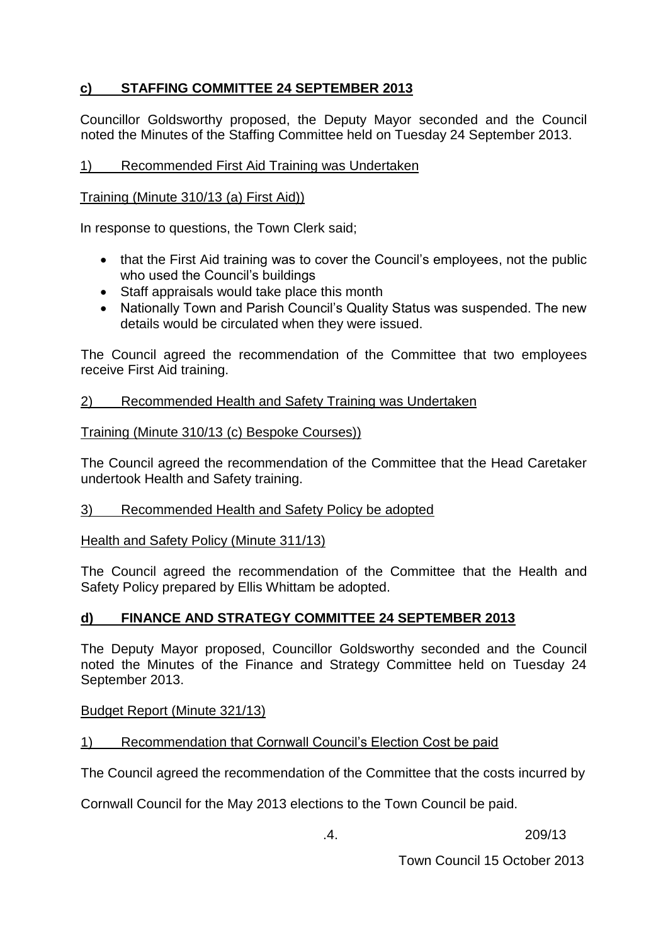# **c) STAFFING COMMITTEE 24 SEPTEMBER 2013**

Councillor Goldsworthy proposed, the Deputy Mayor seconded and the Council noted the Minutes of the Staffing Committee held on Tuesday 24 September 2013.

## 1) Recommended First Aid Training was Undertaken

### Training (Minute 310/13 (a) First Aid))

In response to questions, the Town Clerk said;

- that the First Aid training was to cover the Council's employees, not the public who used the Council's buildings
- Staff appraisals would take place this month
- Nationally Town and Parish Council's Quality Status was suspended. The new details would be circulated when they were issued.

The Council agreed the recommendation of the Committee that two employees receive First Aid training.

### 2) Recommended Health and Safety Training was Undertaken

### Training (Minute 310/13 (c) Bespoke Courses))

The Council agreed the recommendation of the Committee that the Head Caretaker undertook Health and Safety training.

### 3) Recommended Health and Safety Policy be adopted

Health and Safety Policy (Minute 311/13)

The Council agreed the recommendation of the Committee that the Health and Safety Policy prepared by Ellis Whittam be adopted.

### **d) FINANCE AND STRATEGY COMMITTEE 24 SEPTEMBER 2013**

The Deputy Mayor proposed, Councillor Goldsworthy seconded and the Council noted the Minutes of the Finance and Strategy Committee held on Tuesday 24 September 2013.

Budget Report (Minute 321/13)

### 1) Recommendation that Cornwall Council's Election Cost be paid

The Council agreed the recommendation of the Committee that the costs incurred by

Cornwall Council for the May 2013 elections to the Town Council be paid.

.4. 209/13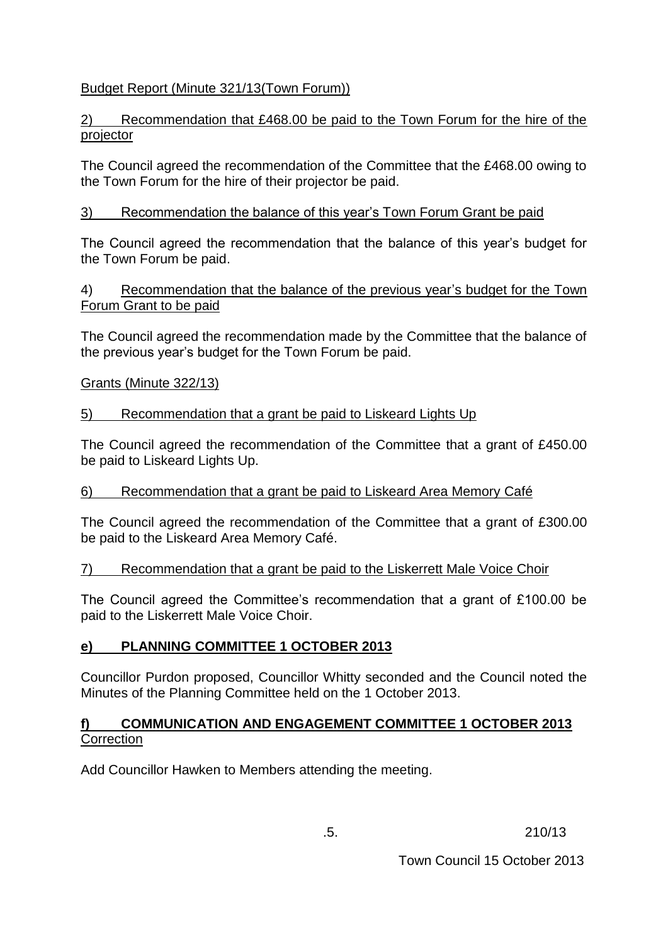# Budget Report (Minute 321/13(Town Forum))

## 2) Recommendation that £468.00 be paid to the Town Forum for the hire of the projector

The Council agreed the recommendation of the Committee that the £468.00 owing to the Town Forum for the hire of their projector be paid.

# 3) Recommendation the balance of this year's Town Forum Grant be paid

The Council agreed the recommendation that the balance of this year's budget for the Town Forum be paid.

## 4) Recommendation that the balance of the previous year's budget for the Town Forum Grant to be paid

The Council agreed the recommendation made by the Committee that the balance of the previous year's budget for the Town Forum be paid.

### Grants (Minute 322/13)

## 5) Recommendation that a grant be paid to Liskeard Lights Up

The Council agreed the recommendation of the Committee that a grant of £450.00 be paid to Liskeard Lights Up.

## 6) Recommendation that a grant be paid to Liskeard Area Memory Café

The Council agreed the recommendation of the Committee that a grant of £300.00 be paid to the Liskeard Area Memory Café.

## 7) Recommendation that a grant be paid to the Liskerrett Male Voice Choir

The Council agreed the Committee's recommendation that a grant of £100.00 be paid to the Liskerrett Male Voice Choir.

## **e) PLANNING COMMITTEE 1 OCTOBER 2013**

Councillor Purdon proposed, Councillor Whitty seconded and the Council noted the Minutes of the Planning Committee held on the 1 October 2013.

### **f) COMMUNICATION AND ENGAGEMENT COMMITTEE 1 OCTOBER 2013 Correction**

Add Councillor Hawken to Members attending the meeting.

.5. 210/13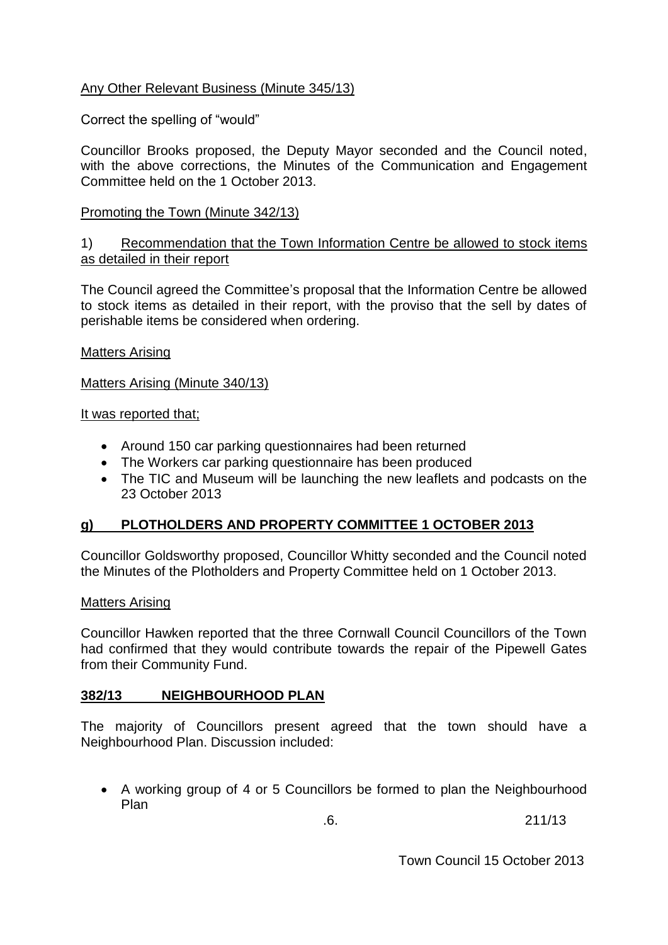## Any Other Relevant Business (Minute 345/13)

### Correct the spelling of "would"

Councillor Brooks proposed, the Deputy Mayor seconded and the Council noted, with the above corrections, the Minutes of the Communication and Engagement Committee held on the 1 October 2013.

### Promoting the Town (Minute 342/13)

### 1) Recommendation that the Town Information Centre be allowed to stock items as detailed in their report

The Council agreed the Committee's proposal that the Information Centre be allowed to stock items as detailed in their report, with the proviso that the sell by dates of perishable items be considered when ordering.

### Matters Arising

Matters Arising (Minute 340/13)

#### It was reported that;

- Around 150 car parking questionnaires had been returned
- The Workers car parking questionnaire has been produced
- The TIC and Museum will be launching the new leaflets and podcasts on the 23 October 2013

### **g) PLOTHOLDERS AND PROPERTY COMMITTEE 1 OCTOBER 2013**

Councillor Goldsworthy proposed, Councillor Whitty seconded and the Council noted the Minutes of the Plotholders and Property Committee held on 1 October 2013.

#### Matters Arising

Councillor Hawken reported that the three Cornwall Council Councillors of the Town had confirmed that they would contribute towards the repair of the Pipewell Gates from their Community Fund.

### **382/13 NEIGHBOURHOOD PLAN**

The majority of Councillors present agreed that the town should have a Neighbourhood Plan. Discussion included:

 A working group of 4 or 5 Councillors be formed to plan the Neighbourhood Plan

.6. 211/13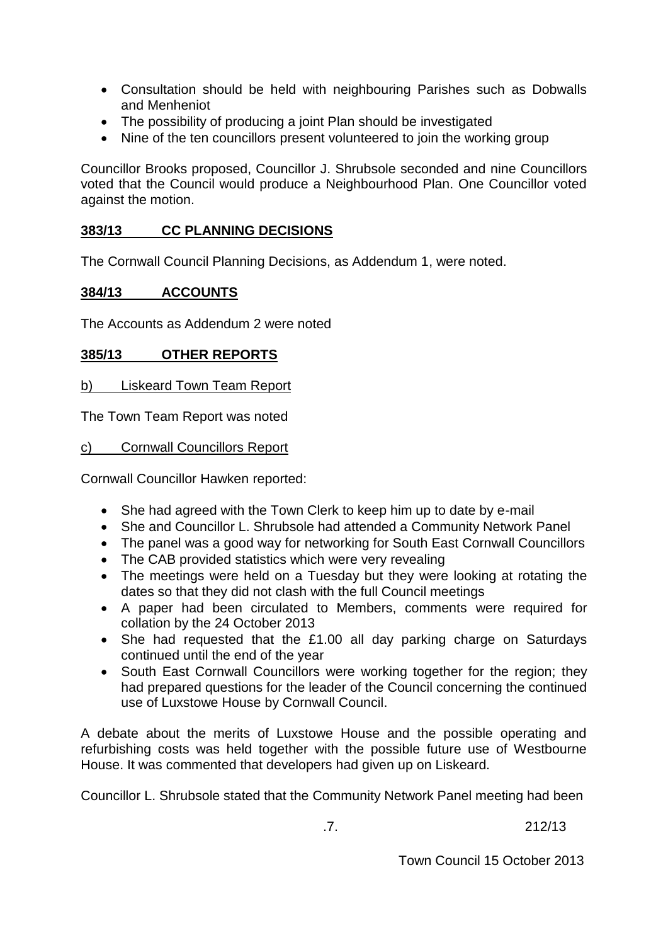- Consultation should be held with neighbouring Parishes such as Dobwalls and Menheniot
- The possibility of producing a joint Plan should be investigated
- Nine of the ten councillors present volunteered to join the working group

Councillor Brooks proposed, Councillor J. Shrubsole seconded and nine Councillors voted that the Council would produce a Neighbourhood Plan. One Councillor voted against the motion.

### **383/13 CC PLANNING DECISIONS**

The Cornwall Council Planning Decisions, as Addendum 1, were noted.

### **384/13 ACCOUNTS**

The Accounts as Addendum 2 were noted

### **385/13 OTHER REPORTS**

b) Liskeard Town Team Report

The Town Team Report was noted

c) Cornwall Councillors Report

Cornwall Councillor Hawken reported:

- She had agreed with the Town Clerk to keep him up to date by e-mail
- She and Councillor L. Shrubsole had attended a Community Network Panel
- The panel was a good way for networking for South East Cornwall Councillors
- The CAB provided statistics which were very revealing
- The meetings were held on a Tuesday but they were looking at rotating the dates so that they did not clash with the full Council meetings
- A paper had been circulated to Members, comments were required for collation by the 24 October 2013
- She had requested that the £1.00 all day parking charge on Saturdays continued until the end of the year
- South East Cornwall Councillors were working together for the region; they had prepared questions for the leader of the Council concerning the continued use of Luxstowe House by Cornwall Council.

A debate about the merits of Luxstowe House and the possible operating and refurbishing costs was held together with the possible future use of Westbourne House. It was commented that developers had given up on Liskeard.

Councillor L. Shrubsole stated that the Community Network Panel meeting had been

.7. 212/13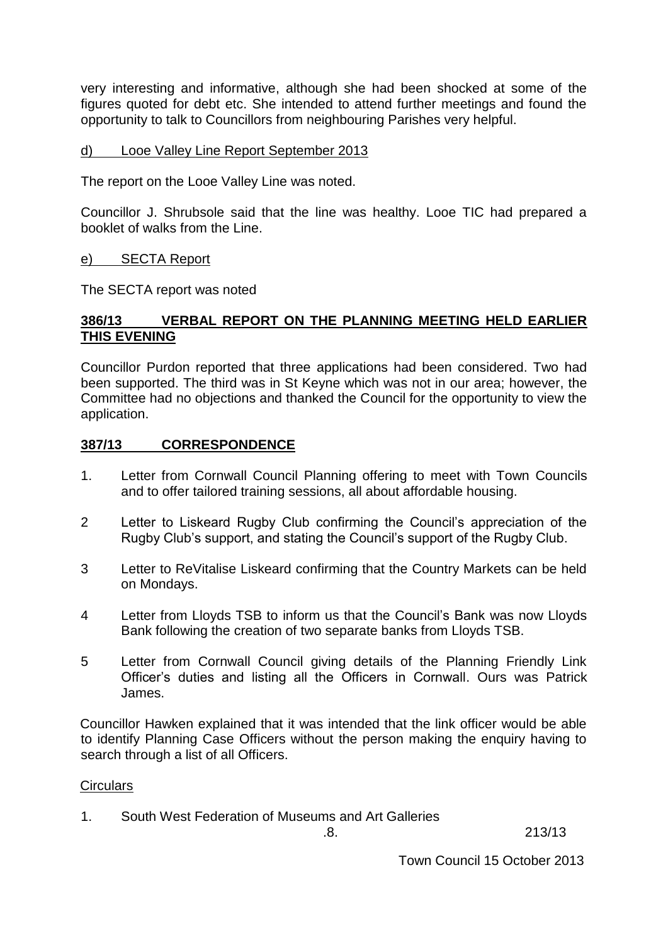very interesting and informative, although she had been shocked at some of the figures quoted for debt etc. She intended to attend further meetings and found the opportunity to talk to Councillors from neighbouring Parishes very helpful.

### d) Looe Valley Line Report September 2013

The report on the Looe Valley Line was noted.

Councillor J. Shrubsole said that the line was healthy. Looe TIC had prepared a booklet of walks from the Line.

### e) SECTA Report

The SECTA report was noted

### **386/13 VERBAL REPORT ON THE PLANNING MEETING HELD EARLIER THIS EVENING**

Councillor Purdon reported that three applications had been considered. Two had been supported. The third was in St Keyne which was not in our area; however, the Committee had no objections and thanked the Council for the opportunity to view the application.

### **387/13 CORRESPONDENCE**

- 1. Letter from Cornwall Council Planning offering to meet with Town Councils and to offer tailored training sessions, all about affordable housing.
- 2 Letter to Liskeard Rugby Club confirming the Council's appreciation of the Rugby Club's support, and stating the Council's support of the Rugby Club.
- 3 Letter to ReVitalise Liskeard confirming that the Country Markets can be held on Mondays.
- 4 Letter from Lloyds TSB to inform us that the Council's Bank was now Lloyds Bank following the creation of two separate banks from Lloyds TSB.
- 5 Letter from Cornwall Council giving details of the Planning Friendly Link Officer's duties and listing all the Officers in Cornwall. Ours was Patrick James.

Councillor Hawken explained that it was intended that the link officer would be able to identify Planning Case Officers without the person making the enquiry having to search through a list of all Officers.

### **Circulars**

1. South West Federation of Museums and Art Galleries

.8. 213/13